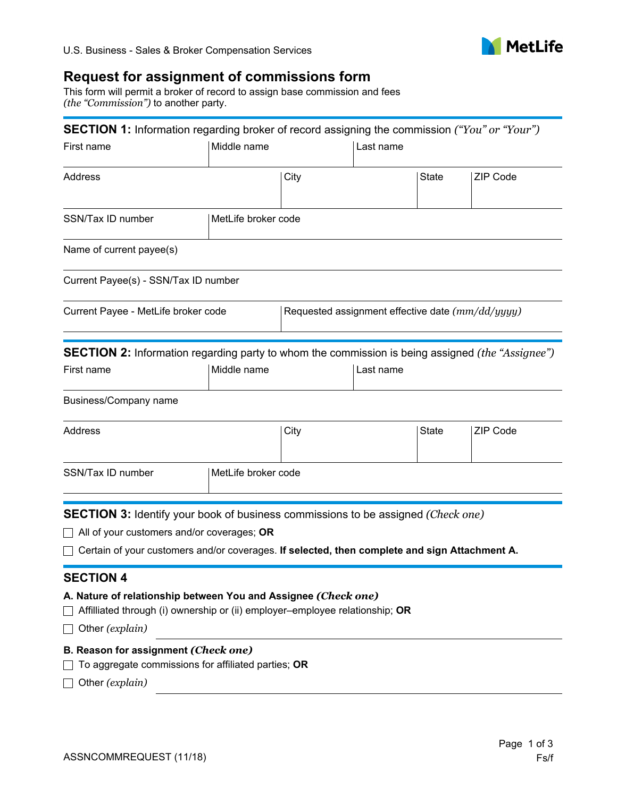

## **Request for assignment of commissions form**

This form will permit a broker of record to assign base commission and fees *(the "Commission")* to another party.

| <b>SECTION 1:</b> Information regarding broker of record assigning the commission ("You" or "Your")                                            |                     |                                                    |           |              |                 |
|------------------------------------------------------------------------------------------------------------------------------------------------|---------------------|----------------------------------------------------|-----------|--------------|-----------------|
| First name                                                                                                                                     | Middle name         |                                                    | Last name |              |                 |
| Address                                                                                                                                        |                     | City                                               |           | <b>State</b> | <b>ZIP Code</b> |
| SSN/Tax ID number                                                                                                                              | MetLife broker code |                                                    |           |              |                 |
| Name of current payee(s)                                                                                                                       |                     |                                                    |           |              |                 |
| Current Payee(s) - SSN/Tax ID number                                                                                                           |                     |                                                    |           |              |                 |
| Current Payee - MetLife broker code                                                                                                            |                     | Requested assignment effective date $(mm/dd/yyyy)$ |           |              |                 |
| <b>SECTION 2:</b> Information regarding party to whom the commission is being assigned (the "Assignee")                                        |                     |                                                    |           |              |                 |
| First name                                                                                                                                     | Middle name         |                                                    | Last name |              |                 |
| Business/Company name                                                                                                                          |                     |                                                    |           |              |                 |
| <b>Address</b>                                                                                                                                 |                     | City                                               |           | <b>State</b> | <b>ZIP Code</b> |
| SSN/Tax ID number                                                                                                                              | MetLife broker code |                                                    |           |              |                 |
| <b>SECTION 3:</b> Identify your book of business commissions to be assigned (Check one)                                                        |                     |                                                    |           |              |                 |
| $\Box$ All of your customers and/or coverages; OR                                                                                              |                     |                                                    |           |              |                 |
| Certain of your customers and/or coverages. If selected, then complete and sign Attachment A.                                                  |                     |                                                    |           |              |                 |
| <b>SECTION 4</b>                                                                                                                               |                     |                                                    |           |              |                 |
| A. Nature of relationship between You and Assignee (Check one)<br>Affilliated through (i) ownership or (ii) employer-employee relationship; OR |                     |                                                    |           |              |                 |
| Other (explain)                                                                                                                                |                     |                                                    |           |              |                 |
| B. Reason for assignment (Check one)                                                                                                           |                     |                                                    |           |              |                 |
| To aggregate commissions for affiliated parties; OR                                                                                            |                     |                                                    |           |              |                 |
| Other (explain)                                                                                                                                |                     |                                                    |           |              |                 |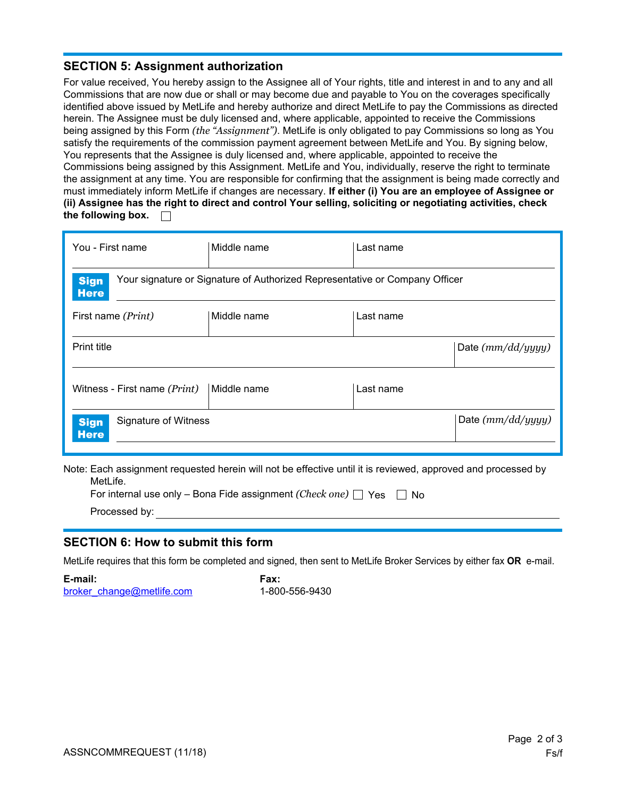## **SECTION 5: Assignment authorization**

For value received, You hereby assign to the Assignee all of Your rights, title and interest in and to any and all Commissions that are now due or shall or may become due and payable to You on the coverages specifically identified above issued by MetLife and hereby authorize and direct MetLife to pay the Commissions as directed herein. The Assignee must be duly licensed and, where applicable, appointed to receive the Commissions being assigned by this Form *(the "Assignment")*. MetLife is only obligated to pay Commissions so long as You satisfy the requirements of the commission payment agreement between MetLife and You. By signing below, You represents that the Assignee is duly licensed and, where applicable, appointed to receive the Commissions being assigned by this Assignment. MetLife and You, individually, reserve the right to terminate the assignment at any time. You are responsible for confirming that the assignment is being made correctly and must immediately inform MetLife if changes are necessary. **If either (i) You are an employee of Assignee or (ii) Assignee has the right to direct and control Your selling, soliciting or negotiating activities, check the following box.** 

| You - First name                                   | Middle name                                                                 | Last name |                     |
|----------------------------------------------------|-----------------------------------------------------------------------------|-----------|---------------------|
| <b>Sign</b><br><b>Here</b>                         | Your signature or Signature of Authorized Representative or Company Officer |           |                     |
| First name ( <i>Print</i> )                        | Middle name                                                                 | Last name |                     |
| <b>Print title</b>                                 |                                                                             |           | Date $(mm/dd/yyyy)$ |
| Witness - First name ( <i>Print</i> )              | Middle name                                                                 | Last name |                     |
| Signature of Witness<br><b>Sign</b><br><b>Here</b> |                                                                             |           | Date (mm/dd/yyyy)   |

Note: Each assignment requested herein will not be effective until it is reviewed, approved and processed by MetLife.

| For internal use only – Bona Fide assignment (Check one) $\Box$ Yes $\Box$ No |  |
|-------------------------------------------------------------------------------|--|
|-------------------------------------------------------------------------------|--|

Processed by:

## **SECTION 6: How to submit this form**

MetLife requires that this form be completed and signed, then sent to MetLife Broker Services by either fax **OR** e-mail.

**E-mail:**  [broker\\_change@metlife.com](mailto:broker_change@metlife.com?subject=Request%20for%20assignment%20of%20commissions)

**Fax:**  1-800-556-9430